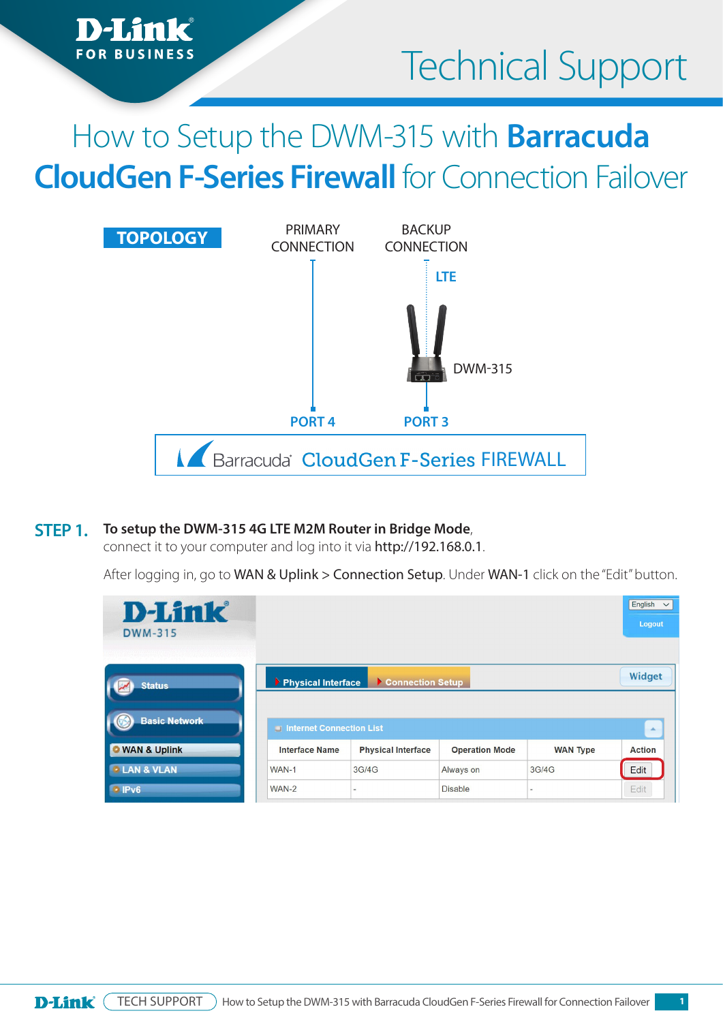

# How to Setup the DWM-315 with **Barracuda CloudGen F-Series Firewall** for Connection Failover



#### **To setup the DWM-315 4G LTE M2M Router in Bridge Mode**, **STEP 1.**

**FOR BUSINESS** 

connect it to your computer and log into it via http://192.168.0.1.

After logging in, go to WAN & Uplink > Connection Setup. Under WAN-1 click on the "Edit" button.

| <b>D-Link</b><br><b>DWM-315</b><br>2000 2020 2020 2021 2022 |                          |                           |                       |                 | English<br>$\checkmark$<br>Logout |
|-------------------------------------------------------------|--------------------------|---------------------------|-----------------------|-----------------|-----------------------------------|
| <b>Status</b>                                               | Physical Interface       | Connection Setup          |                       |                 | Widget                            |
| <b>Basic Network</b>                                        | Internet Connection List |                           |                       |                 | $\Delta$                          |
| <b>O</b> WAN & Uplink                                       | <b>Interface Name</b>    | <b>Physical Interface</b> | <b>Operation Mode</b> | <b>WAN Type</b> | <b>Action</b>                     |
| <b>• LAN &amp; VLAN</b>                                     | WAN-1                    | 3G/4G                     | Always on             | 3G/4G           | Edit                              |
| $\cdot$ IPv6                                                | WAN-2                    | $\overline{\phantom{a}}$  | <b>Disable</b>        | ٠               | Edit                              |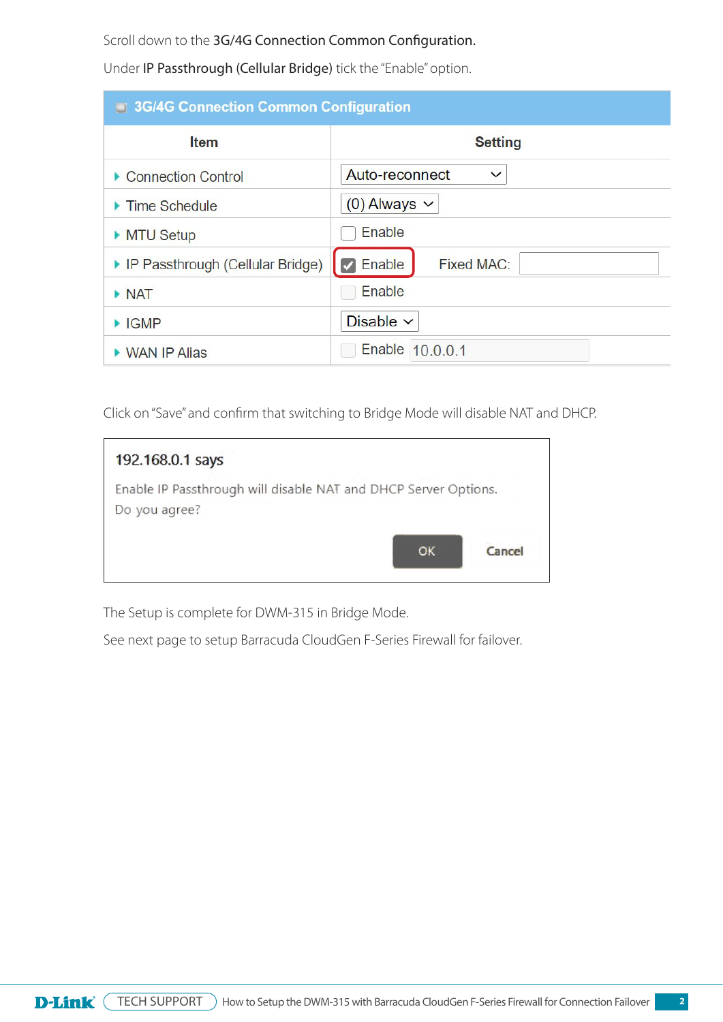Scroll down to the 3G/4G Connection Common Configuration.

Under IP Passthrough (Cellular Bridge) tick the "Enable" option.

| <b>3G/4G Connection Common Configuration</b> |                                |  |  |  |
|----------------------------------------------|--------------------------------|--|--|--|
| <b>Item</b>                                  | <b>Setting</b>                 |  |  |  |
| ▶ Connection Control                         | Auto-reconnect<br>$\checkmark$ |  |  |  |
| $\blacktriangleright$ Time Schedule          | $(0)$ Always $\vee$            |  |  |  |
| MTU Setup                                    | Enable                         |  |  |  |
| ▶ IP Passthrough (Cellular Bridge)           | $\vee$ Enable<br>Fixed MAC:    |  |  |  |
| $\triangleright$ NAT                         | Enable                         |  |  |  |
| $\blacktriangleright$ IGMP                   | Disable $\vee$                 |  |  |  |
| ▶ WAN IP Alias                               | Enable 10.0.0.1                |  |  |  |

Click on "Save" and confirm that switching to Bridge Mode will disable NAT and DHCP.

| 192.168.0.1 says                                                                 |        |
|----------------------------------------------------------------------------------|--------|
| Enable IP Passthrough will disable NAT and DHCP Server Options.<br>Do you agree? |        |
| OK                                                                               | Cancel |

The Setup is complete for DWM-315 in Bridge Mode.

See next page to setup Barracuda CloudGen F-Series Firewall for failover.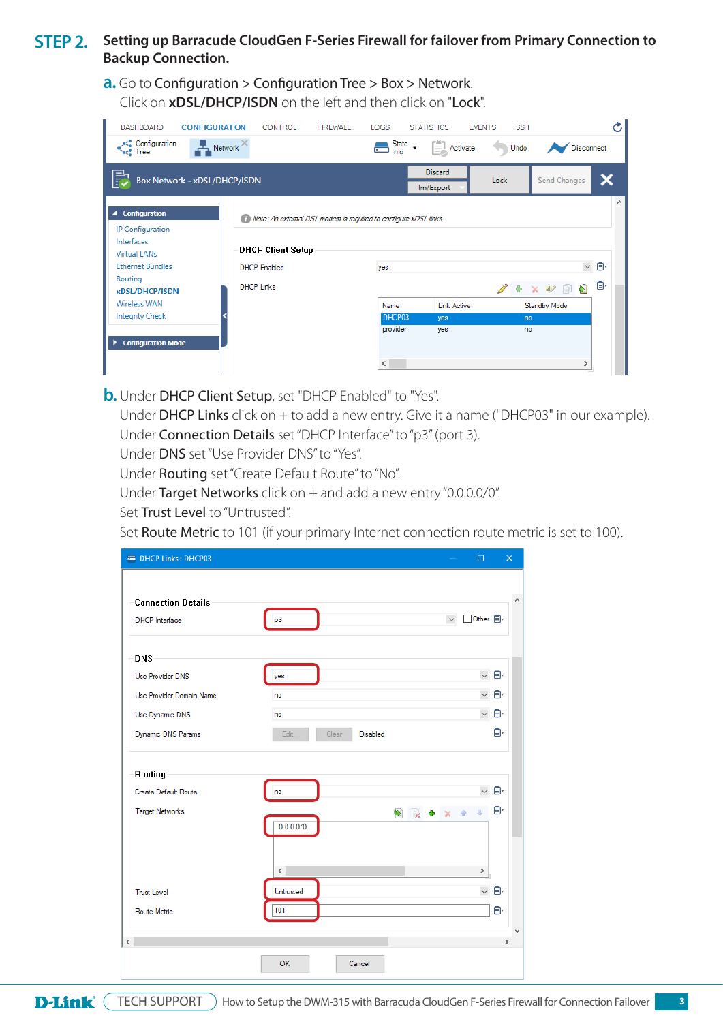#### **STEP 2.** Setting up Barracude CloudGen F-Series Firewall for failover from Primary Connection to **Backup Connection.**

**a.** Go to Configuration > Configuration Tree > Box > Network. Click on **xDSL/DHCP/ISDN** on the left and then click on "Lock".

| <b>DASHBOARD</b>                    | <b>CONFIGURATION</b>                | <b>CONTROL</b>           | <b>FIREWALL</b>                                                  | <b>LOGS</b>                         | <b>STATISTICS</b>                                                   | <b>EVENTS</b> | <b>SSH</b>        |                   |                          |
|-------------------------------------|-------------------------------------|--------------------------|------------------------------------------------------------------|-------------------------------------|---------------------------------------------------------------------|---------------|-------------------|-------------------|--------------------------|
| Configuration<br>est Tree           | $\mathbb{F}_n$ Network $\mathbb{R}$ |                          |                                                                  | $\sum_{\text{Info}}^{\text{State}}$ | $\begin{bmatrix} \frac{a}{b} \\ \frac{c}{c} \end{bmatrix}$ Activate |               | Undo              | <b>Disconnect</b> |                          |
| F                                   | Box Network - xDSL/DHCP/ISDN        |                          |                                                                  |                                     | <b>Discard</b><br>Im/Export                                         | Lock          |                   | Send Changes      |                          |
| ▲ Configuration<br>IP Configuration |                                     |                          | Note: An external DSL modem is required to configure xDSL links. |                                     |                                                                     |               |                   |                   | $\mathcal{O}_\mathbf{1}$ |
| Interfaces<br><b>Virtual LANs</b>   |                                     | <b>DHCP Client Setup</b> |                                                                  |                                     |                                                                     |               |                   |                   |                          |
| <b>Ethernet Bundles</b><br>Routing  |                                     | <b>DHCP</b> Enabled      |                                                                  | yes                                 |                                                                     |               |                   | $\checkmark$      | O.                       |
| xDSL/DHCP/ISDN                      |                                     | <b>DHCP Links</b>        |                                                                  |                                     |                                                                     |               | <b>★ #</b> ■<br>÷ | อ                 | o.                       |
| <b>Wireless WAN</b>                 |                                     |                          |                                                                  | Name                                | <b>Link Active</b>                                                  |               | Standby Mode      |                   |                          |
| <b>Integrity Check</b>              |                                     |                          |                                                                  | DHCP03                              | yes                                                                 |               | no                |                   |                          |
| <b>Configuration Mode</b><br>٠      |                                     |                          |                                                                  | provider                            | yes                                                                 |               | no                |                   |                          |
|                                     |                                     |                          |                                                                  | $\hat{~}$                           |                                                                     |               |                   | $\rightarrow$     |                          |

**b.** Under DHCP Client Setup, set "DHCP Enabled" to "Yes".

Under DHCP Links click on + to add a new entry. Give it a name ("DHCP03" in our example). Under Connection Details set "DHCP Interface" to "p3" (port 3).

Under DNS set "Use Provider DNS" to "Yes".

Under Routing set "Create Default Route" to "No".

Under Target Networks click on + and add a new entry "0.0.0.0/0".

Set Trust Level to "Untrusted".

Set Route Metric to 101 (if your primary Internet connection route metric is set to 100).

| <b>Connection Details</b>                      |                           |                                     |
|------------------------------------------------|---------------------------|-------------------------------------|
| <b>DHCP</b> Interface                          | p3                        | Other 日·<br>$\checkmark$            |
| <b>DNS</b>                                     |                           |                                     |
| Use Provider DNS                               | yes                       | $\vee$ $\Box$                       |
| Use Provider Domain Name                       | no                        | $\vee$ 0.                           |
| Use Dynamic DNS                                | no                        | $\vee$ 0.                           |
| Dynamic DNS Params                             | Edit<br>Clear<br>Disabled | 日                                   |
| Create Default Route<br><b>Target Networks</b> | no<br>۷<br>0.0.0.0/0      | $\vee$ 0.<br>O.<br>良<br>合<br>Ф<br>× |
|                                                | $\leq$                    | $\,$                                |
| <b>Trust Level</b>                             | Untrusted                 | $\vee$ 0.                           |
| Route Metric                                   | 101                       | O.                                  |